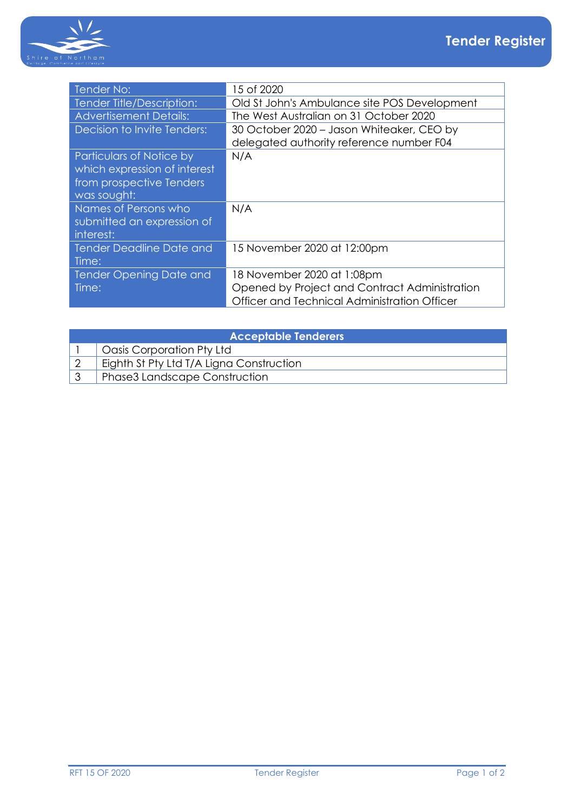

| 15 of 2020                                    |
|-----------------------------------------------|
| Old St John's Ambulance site POS Development  |
| The West Australian on 31 October 2020        |
| 30 October 2020 - Jason Whiteaker, CEO by     |
| delegated authority reference number F04      |
| N/A                                           |
|                                               |
|                                               |
|                                               |
| N/A                                           |
|                                               |
|                                               |
| 15 November 2020 at 12:00pm                   |
|                                               |
| 18 November 2020 at 1:08pm                    |
| Opened by Project and Contract Administration |
| Officer and Technical Administration Officer  |
|                                               |

| <b>Acceptable Tenderers</b> |                                          |  |  |
|-----------------------------|------------------------------------------|--|--|
|                             | <sup>1</sup> Oasis Corporation Pty Ltd   |  |  |
|                             | Eighth St Pty Ltd T/A Ligna Construction |  |  |
|                             | <b>Phase3 Landscape Construction</b>     |  |  |